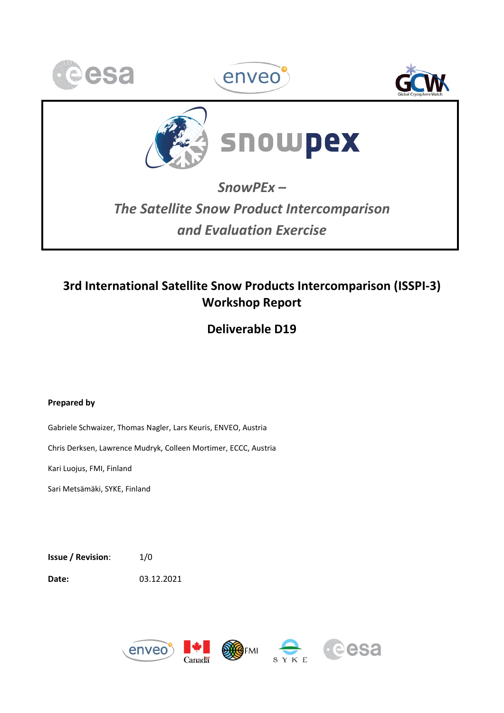







*SnowPEx – The Satellite Snow Product Intercomparison and Evaluation Exercise*

# **3rd International Satellite Snow Products Intercomparison (ISSPI-3) Workshop Report**

**Deliverable D19**

### **Prepared by**

Gabriele Schwaizer, Thomas Nagler, Lars Keuris, ENVEO, Austria

Chris Derksen, Lawrence Mudryk, Colleen Mortimer, ECCC, Austria

Kari Luojus, FMI, Finland

Sari Metsämäki, SYKE, Finland

**Issue / Revision:** 1/0 **Date:** 03.12.2021

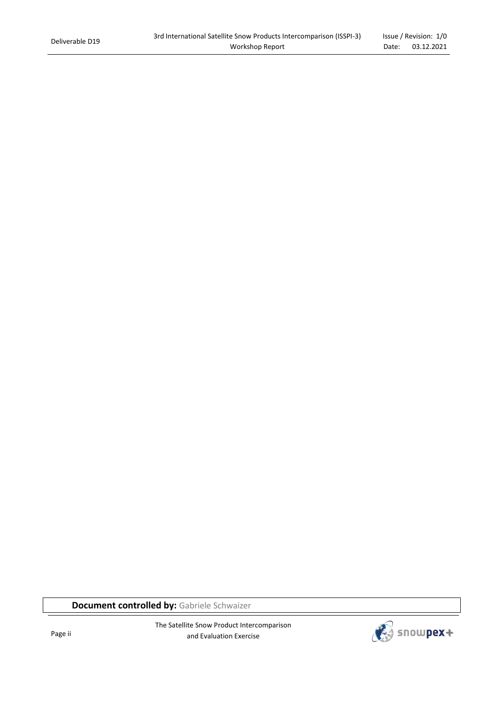**Document controlled by: Gabriele Schwaizer** 



Page ii

The Satellite Snow Product Intercomparison and Evaluation Exercise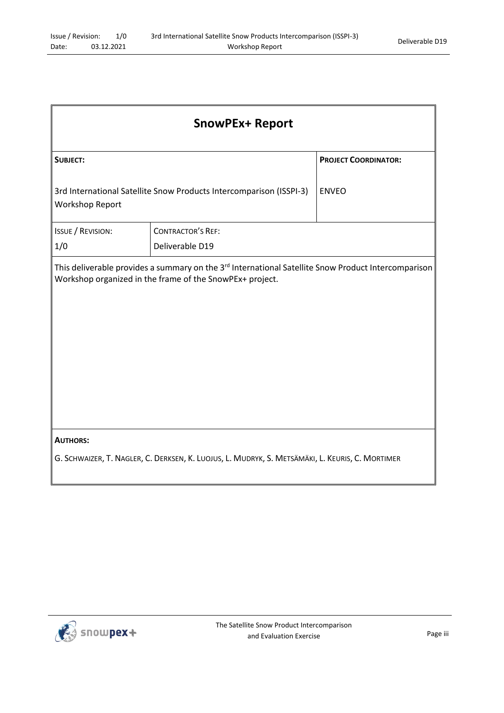| <b>SnowPEx+ Report</b>                                                                                                                                                      |                          |                             |  |
|-----------------------------------------------------------------------------------------------------------------------------------------------------------------------------|--------------------------|-----------------------------|--|
| <b>SUBJECT:</b>                                                                                                                                                             |                          | <b>PROJECT COORDINATOR:</b> |  |
| 3rd International Satellite Snow Products Intercomparison (ISSPI-3)<br>Workshop Report                                                                                      |                          | <b>ENVEO</b>                |  |
| <b>ISSUE / REVISION:</b>                                                                                                                                                    | <b>CONTRACTOR'S REF:</b> |                             |  |
| 1/0                                                                                                                                                                         | Deliverable D19          |                             |  |
| This deliverable provides a summary on the 3 <sup>rd</sup> International Satellite Snow Product Intercomparison<br>Workshop organized in the frame of the SnowPEx+ project. |                          |                             |  |
| <b>AUTHORS:</b><br>G. SCHWAIZER, T. NAGLER, C. DERKSEN, K. LUOJUS, L. MUDRYK, S. METSÄMÄKI, L. KEURIS, C. MORTIMER                                                          |                          |                             |  |

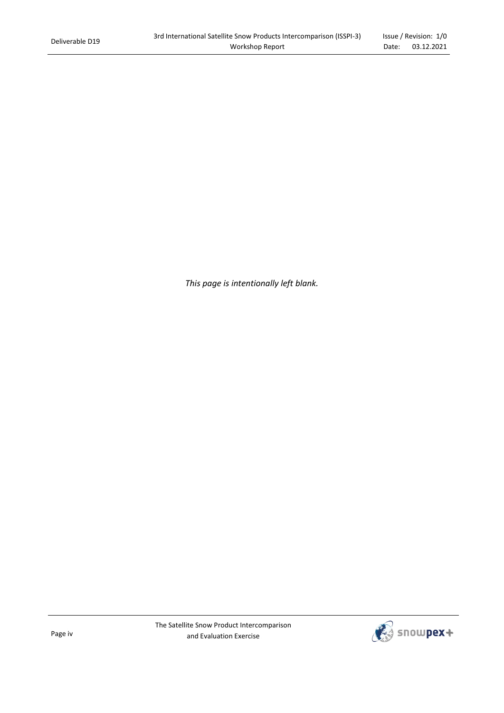*This page is intentionally left blank.*

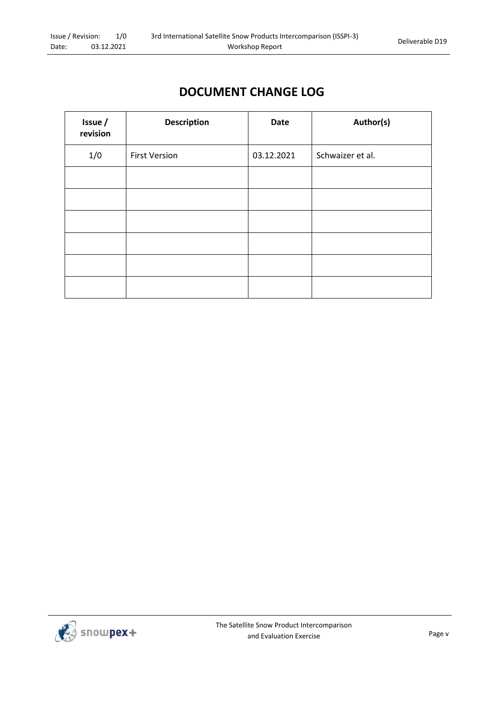# **DOCUMENT CHANGE LOG**

| Issue /<br>revision | <b>Description</b>   | <b>Date</b> | Author(s)        |
|---------------------|----------------------|-------------|------------------|
| 1/0                 | <b>First Version</b> | 03.12.2021  | Schwaizer et al. |
|                     |                      |             |                  |
|                     |                      |             |                  |
|                     |                      |             |                  |
|                     |                      |             |                  |
|                     |                      |             |                  |
|                     |                      |             |                  |

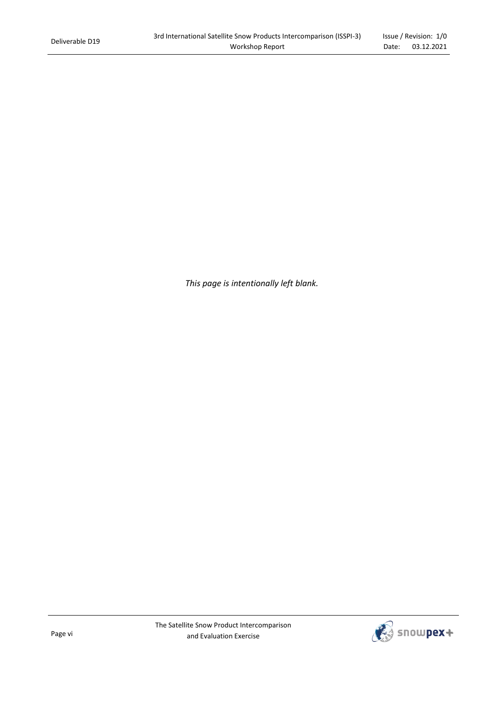*This page is intentionally left blank.*



Page vi

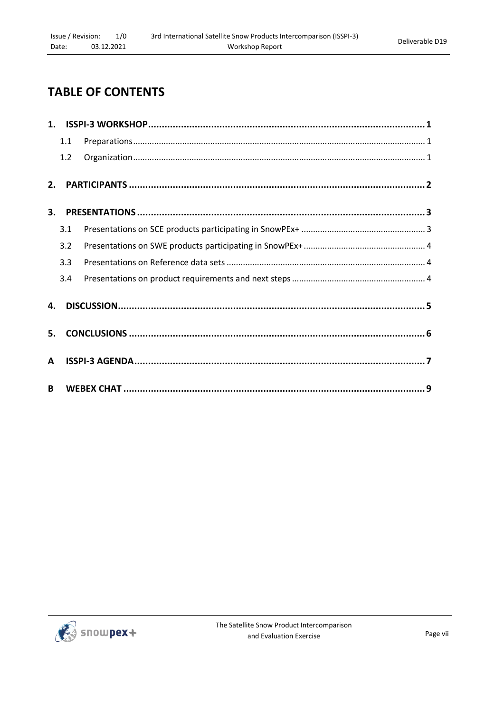# **TABLE OF CONTENTS**

|    | 1.1 |  |
|----|-----|--|
|    | 1.2 |  |
| 2. |     |  |
| 3. |     |  |
|    | 3.1 |  |
|    | 3.2 |  |
|    | 3.3 |  |
|    | 3.4 |  |
| 4. |     |  |
| 5. |     |  |
| A  |     |  |
| B. |     |  |

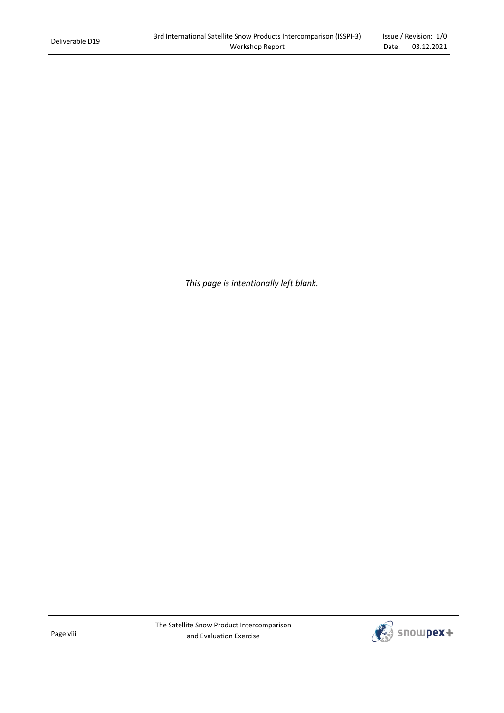*This page is intentionally left blank.*

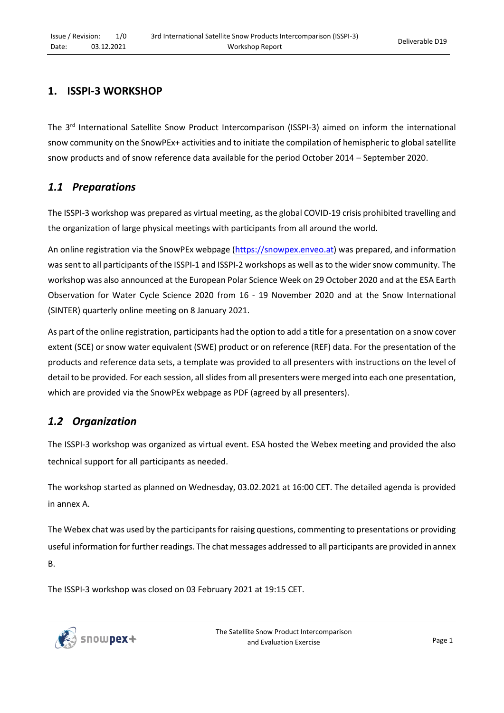### <span id="page-8-0"></span>**1. ISSPI-3 WORKSHOP**

The 3<sup>rd</sup> International Satellite Snow Product Intercomparison (ISSPI-3) aimed on inform the international snow community on the SnowPEx+ activities and to initiate the compilation of hemispheric to global satellite snow products and of snow reference data available for the period October 2014 – September 2020.

### <span id="page-8-1"></span>*1.1 Preparations*

The ISSPI-3 workshop was prepared as virtual meeting, as the global COVID-19 crisis prohibited travelling and the organization of large physical meetings with participants from all around the world.

An online registration via the SnowPEx webpage [\(https://snowpex.enveo.at\)](https://snowpex.enveo.at/) was prepared, and information was sent to all participants of the ISSPI-1 and ISSPI-2 workshops as well as to the wider snow community. The workshop was also announced at the European Polar Science Week on 29 October 2020 and at the ESA Earth Observation for Water Cycle Science 2020 from 16 - 19 November 2020 and at the Snow International (SINTER) quarterly online meeting on 8 January 2021.

As part of the online registration, participants had the option to add a title for a presentation on a snow cover extent (SCE) or snow water equivalent (SWE) product or on reference (REF) data. For the presentation of the products and reference data sets, a template was provided to all presenters with instructions on the level of detail to be provided. For each session, all slides from all presenters were merged into each one presentation, which are provided via the SnowPEx webpage as PDF (agreed by all presenters).

### <span id="page-8-2"></span>*1.2 Organization*

The ISSPI-3 workshop was organized as virtual event. ESA hosted the Webex meeting and provided the also technical support for all participants as needed.

The workshop started as planned on Wednesday, 03.02.2021 at 16:00 CET. The detailed agenda is provided in annex [A.](#page-14-0)

The Webex chat was used by the participants for raising questions, commenting to presentations or providing useful information for further readings. The chat messages addressed to all participants are provided in annex [B.](#page-16-0)

The ISSPI-3 workshop was closed on 03 February 2021 at 19:15 CET.

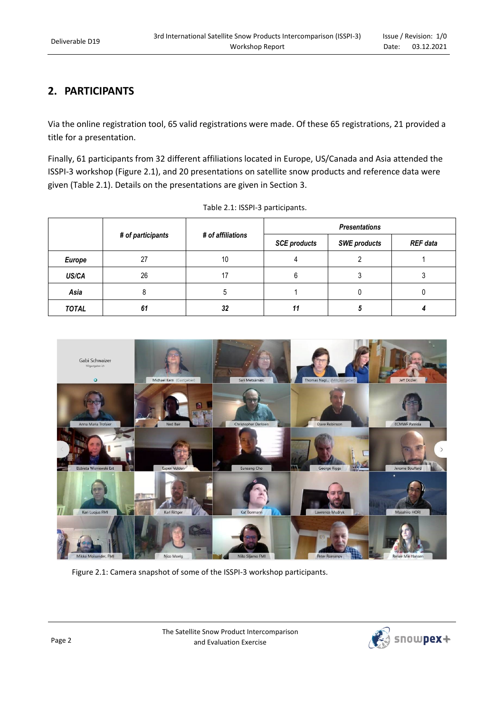# <span id="page-9-0"></span>**2. PARTICIPANTS**

Via the online registration tool, 65 valid registrations were made. Of these 65 registrations, 21 provided a title for a presentation.

Finally, 61 participants from 32 different affiliations located in Europe, US/Canada and Asia attended the ISSPI-3 workshop [\(Figure 2.1\)](#page-9-1), and 20 presentations on satellite snow products and reference data were given [\(Table 2.1\)](#page-9-2). Details on the presentations are given in Section [3.](#page-10-0)

<span id="page-9-2"></span>

|              |                   | # of affiliations | <b>Presentations</b> |                     |                 |
|--------------|-------------------|-------------------|----------------------|---------------------|-----------------|
|              | # of participants |                   | <b>SCE products</b>  | <b>SWE</b> products | <b>REF</b> data |
| Europe       | 27                | 10                |                      |                     |                 |
| US/CA        | 26                | 17                |                      |                     |                 |
| Asia         |                   |                   |                      |                     |                 |
| <b>TOTAL</b> | 61                | 32                | 11                   |                     |                 |

| Table 2.1: ISSPI-3 participants. |  |
|----------------------------------|--|
|----------------------------------|--|

<span id="page-9-1"></span>

Figure 2.1: Camera snapshot of some of the ISSPI-3 workshop participants.

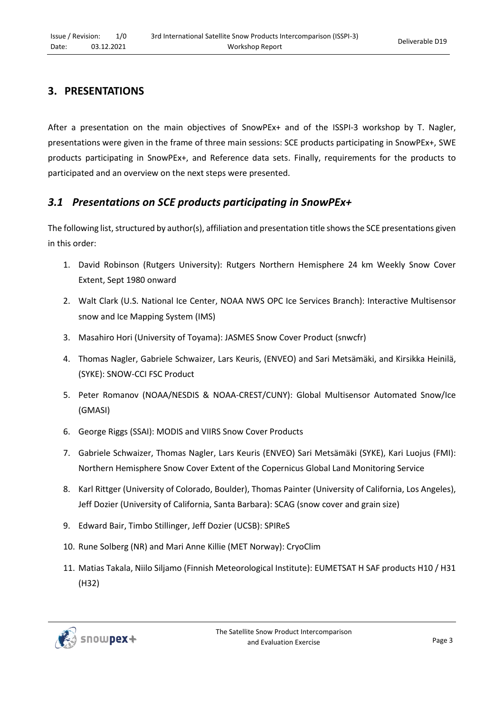### <span id="page-10-0"></span>**3. PRESENTATIONS**

After a presentation on the main objectives of SnowPEx+ and of the ISSPI-3 workshop by T. Nagler, presentations were given in the frame of three main sessions: SCE products participating in SnowPEx+, SWE products participating in SnowPEx+, and Reference data sets. Finally, requirements for the products to participated and an overview on the next steps were presented.

### <span id="page-10-1"></span>*3.1 Presentations on SCE products participating in SnowPEx+*

The following list, structured by author(s), affiliation and presentation title shows the SCE presentations given in this order:

- 1. David Robinson (Rutgers University): Rutgers Northern Hemisphere 24 km Weekly Snow Cover Extent, Sept 1980 onward
- 2. Walt Clark (U.S. National Ice Center, NOAA NWS OPC Ice Services Branch): Interactive Multisensor snow and Ice Mapping System (IMS)
- 3. Masahiro Hori (University of Toyama): JASMES Snow Cover Product (snwcfr)
- 4. Thomas Nagler, Gabriele Schwaizer, Lars Keuris, (ENVEO) and Sari Metsämäki, and Kirsikka Heinilä, (SYKE): SNOW-CCI FSC Product
- 5. Peter Romanov (NOAA/NESDIS & NOAA-CREST/CUNY): Global Multisensor Automated Snow/Ice (GMASI)
- 6. George Riggs (SSAI): MODIS and VIIRS Snow Cover Products
- 7. Gabriele Schwaizer, Thomas Nagler, Lars Keuris (ENVEO) Sari Metsämäki (SYKE), Kari Luojus (FMI): Northern Hemisphere Snow Cover Extent of the Copernicus Global Land Monitoring Service
- 8. Karl Rittger (University of Colorado, Boulder), Thomas Painter (University of California, Los Angeles), Jeff Dozier (University of California, Santa Barbara): SCAG (snow cover and grain size)
- 9. Edward Bair, Timbo Stillinger, Jeff Dozier (UCSB): SPIReS
- 10. Rune Solberg (NR) and Mari Anne Killie (MET Norway): CryoClim
- 11. Matias Takala, Niilo Siljamo (Finnish Meteorological Institute): EUMETSAT H SAF products H10 / H31 (H32)

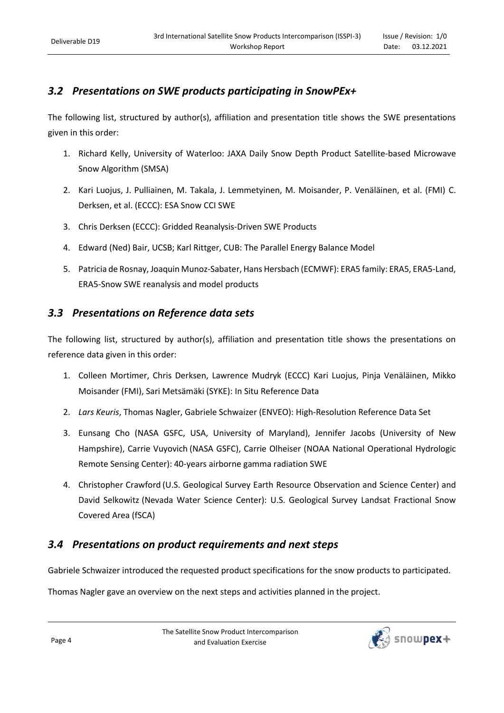## <span id="page-11-0"></span>*3.2 Presentations on SWE products participating in SnowPEx+*

The following list, structured by author(s), affiliation and presentation title shows the SWE presentations given in this order:

- 1. Richard Kelly, University of Waterloo: JAXA Daily Snow Depth Product Satellite-based Microwave Snow Algorithm (SMSA)
- 2. Kari Luojus, J. Pulliainen, M. Takala, J. Lemmetyinen, M. Moisander, P. Venäläinen, et al. (FMI) C. Derksen, et al. (ECCC): ESA Snow CCI SWE
- 3. Chris Derksen (ECCC): Gridded Reanalysis-Driven SWE Products
- 4. Edward (Ned) Bair, UCSB; Karl Rittger, CUB: The Parallel Energy Balance Model
- 5. Patricia de Rosnay, Joaquin Munoz-Sabater, Hans Hersbach (ECMWF): ERA5 family: ERA5, ERA5-Land, ERA5-Snow SWE reanalysis and model products

### <span id="page-11-1"></span>*3.3 Presentations on Reference data sets*

The following list, structured by author(s), affiliation and presentation title shows the presentations on reference data given in this order:

- 1. Colleen Mortimer, Chris Derksen, Lawrence Mudryk (ECCC) Kari Luojus, Pinja Venäläinen, Mikko Moisander (FMI), Sari Metsämäki (SYKE): In Situ Reference Data
- 2. *Lars Keuris*, Thomas Nagler, Gabriele Schwaizer (ENVEO): High-Resolution Reference Data Set
- 3. Eunsang Cho (NASA GSFC, USA, University of Maryland), Jennifer Jacobs (University of New Hampshire), Carrie Vuyovich (NASA GSFC), Carrie Olheiser (NOAA National Operational Hydrologic Remote Sensing Center): 40-years airborne gamma radiation SWE
- 4. Christopher Crawford (U.S. Geological Survey Earth Resource Observation and Science Center) and David Selkowitz (Nevada Water Science Center): U.S. Geological Survey Landsat Fractional Snow Covered Area (fSCA)

### <span id="page-11-2"></span>*3.4 Presentations on product requirements and next steps*

Gabriele Schwaizer introduced the requested product specifications for the snow products to participated.

Thomas Nagler gave an overview on the next steps and activities planned in the project.

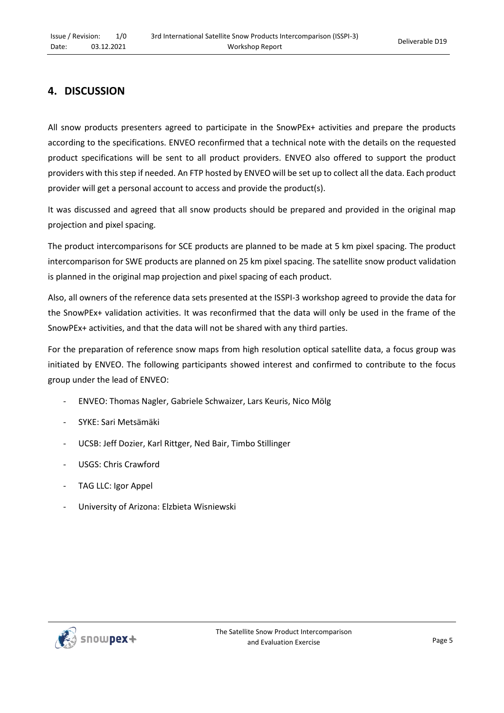## <span id="page-12-0"></span>**4. DISCUSSION**

All snow products presenters agreed to participate in the SnowPEx+ activities and prepare the products according to the specifications. ENVEO reconfirmed that a technical note with the details on the requested product specifications will be sent to all product providers. ENVEO also offered to support the product providers with this step if needed. An FTP hosted by ENVEO will be set up to collect all the data. Each product provider will get a personal account to access and provide the product(s).

It was discussed and agreed that all snow products should be prepared and provided in the original map projection and pixel spacing.

The product intercomparisons for SCE products are planned to be made at 5 km pixel spacing. The product intercomparison for SWE products are planned on 25 km pixel spacing. The satellite snow product validation is planned in the original map projection and pixel spacing of each product.

Also, all owners of the reference data sets presented at the ISSPI-3 workshop agreed to provide the data for the SnowPEx+ validation activities. It was reconfirmed that the data will only be used in the frame of the SnowPEx+ activities, and that the data will not be shared with any third parties.

For the preparation of reference snow maps from high resolution optical satellite data, a focus group was initiated by ENVEO. The following participants showed interest and confirmed to contribute to the focus group under the lead of ENVEO:

- ENVEO: Thomas Nagler, Gabriele Schwaizer, Lars Keuris, Nico Mölg
- SYKE: Sari Metsämäki
- UCSB: Jeff Dozier, Karl Rittger, Ned Bair, Timbo Stillinger
- USGS: Chris Crawford
- TAG LLC: Igor Appel
- University of Arizona: Elzbieta Wisniewski

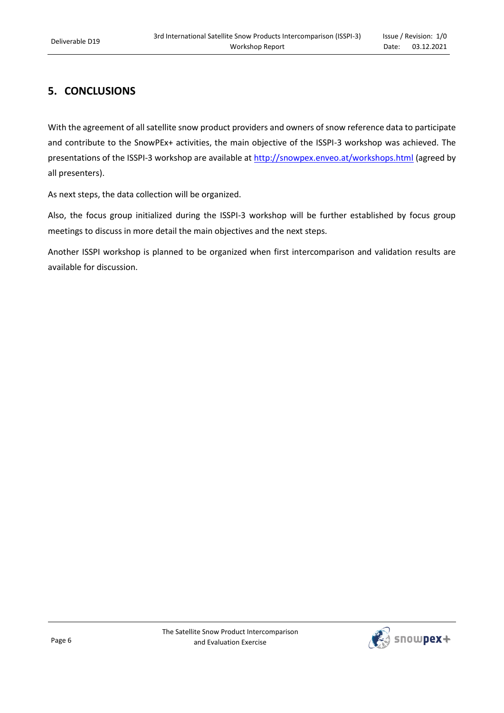# <span id="page-13-0"></span>**5. CONCLUSIONS**

With the agreement of all satellite snow product providers and owners of snow reference data to participate and contribute to the SnowPEx+ activities, the main objective of the ISSPI-3 workshop was achieved. The presentations of the ISSPI-3 workshop are available at<http://snowpex.enveo.at/workshops.html> (agreed by all presenters).

As next steps, the data collection will be organized.

Also, the focus group initialized during the ISSPI-3 workshop will be further established by focus group meetings to discuss in more detail the main objectives and the next steps.

Another ISSPI workshop is planned to be organized when first intercomparison and validation results are available for discussion.

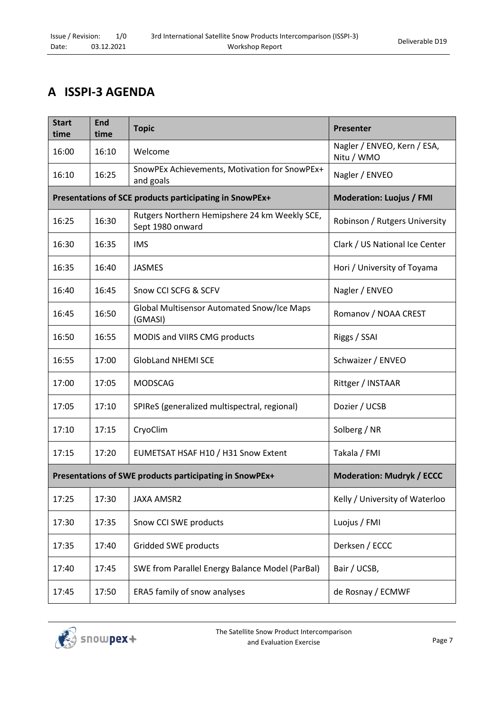# <span id="page-14-0"></span>**A ISSPI-3 AGENDA**

| <b>Start</b><br>time | <b>End</b><br>time                                      | <b>Topic</b>                                                      | <b>Presenter</b>                          |
|----------------------|---------------------------------------------------------|-------------------------------------------------------------------|-------------------------------------------|
| 16:00                | 16:10                                                   | Welcome                                                           | Nagler / ENVEO, Kern / ESA,<br>Nitu / WMO |
| 16:10                | 16:25                                                   | SnowPEx Achievements, Motivation for SnowPEx+<br>and goals        | Nagler / ENVEO                            |
|                      |                                                         | Presentations of SCE products participating in SnowPEx+           | <b>Moderation: Luojus / FMI</b>           |
| 16:25                | 16:30                                                   | Rutgers Northern Hemipshere 24 km Weekly SCE,<br>Sept 1980 onward | Robinson / Rutgers University             |
| 16:30                | 16:35                                                   | <b>IMS</b>                                                        | Clark / US National Ice Center            |
| 16:35                | 16:40                                                   | <b>JASMES</b>                                                     | Hori / University of Toyama               |
| 16:40                | 16:45                                                   | Snow CCI SCFG & SCFV                                              | Nagler / ENVEO                            |
| 16:45                | 16:50                                                   | <b>Global Multisensor Automated Snow/Ice Maps</b><br>(GMASI)      | Romanov / NOAA CREST                      |
| 16:50                | 16:55                                                   | MODIS and VIIRS CMG products                                      | Riggs / SSAI                              |
| 16:55                | 17:00                                                   | <b>GlobLand NHEMI SCE</b>                                         | Schwaizer / ENVEO                         |
| 17:00                | 17:05                                                   | <b>MODSCAG</b>                                                    | Rittger / INSTAAR                         |
| 17:05                | 17:10                                                   | SPIReS (generalized multispectral, regional)                      | Dozier / UCSB                             |
| 17:10                | 17:15                                                   | CryoClim                                                          | Solberg / NR                              |
| 17:15                | 17:20                                                   | EUMETSAT HSAF H10 / H31 Snow Extent                               | Takala / FMI                              |
|                      | Presentations of SWE products participating in SnowPEx+ | <b>Moderation: Mudryk / ECCC</b>                                  |                                           |
| 17:25                | 17:30                                                   | <b>JAXA AMSR2</b>                                                 | Kelly / University of Waterloo            |
| 17:30                | 17:35                                                   | Snow CCI SWE products                                             | Luojus / FMI                              |
| 17:35                | 17:40                                                   | Gridded SWE products                                              | Derksen / ECCC                            |
| 17:40                | 17:45                                                   | SWE from Parallel Energy Balance Model (ParBal)                   | Bair / UCSB,                              |
| 17:45                | 17:50                                                   | ERA5 family of snow analyses                                      | de Rosnay / ECMWF                         |

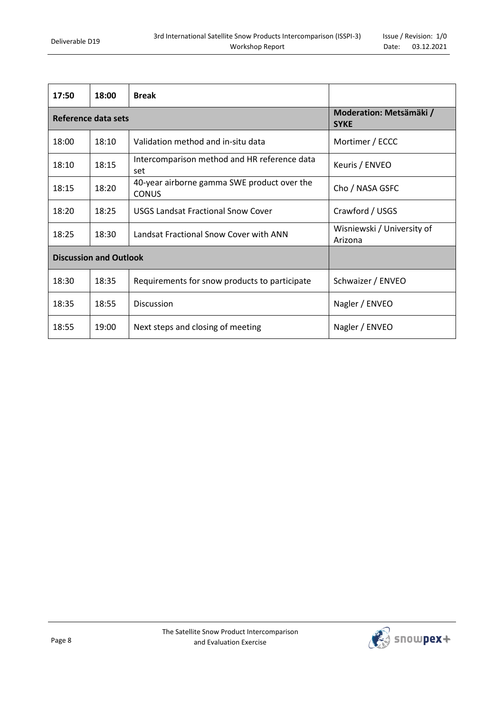| 17:50                         | 18:00 | <b>Break</b>                                                |                                        |
|-------------------------------|-------|-------------------------------------------------------------|----------------------------------------|
| Reference data sets           |       |                                                             | Moderation: Metsämäki /<br><b>SYKE</b> |
| 18:00                         | 18:10 | Validation method and in-situ data                          | Mortimer / ECCC                        |
| 18:10                         | 18:15 | Intercomparison method and HR reference data<br>set         | Keuris / ENVEO                         |
| 18:15                         | 18:20 | 40-year airborne gamma SWE product over the<br><b>CONUS</b> | Cho / NASA GSFC                        |
| 18:20                         | 18:25 | <b>USGS Landsat Fractional Snow Cover</b>                   | Crawford / USGS                        |
| 18:25                         | 18:30 | Landsat Fractional Snow Cover with ANN                      | Wisniewski / University of<br>Arizona  |
| <b>Discussion and Outlook</b> |       |                                                             |                                        |
| 18:30                         | 18:35 | Requirements for snow products to participate               | Schwaizer / ENVEO                      |
| 18:35                         | 18:55 | <b>Discussion</b>                                           | Nagler / ENVEO                         |
| 18:55                         | 19:00 | Next steps and closing of meeting                           | Nagler / ENVEO                         |

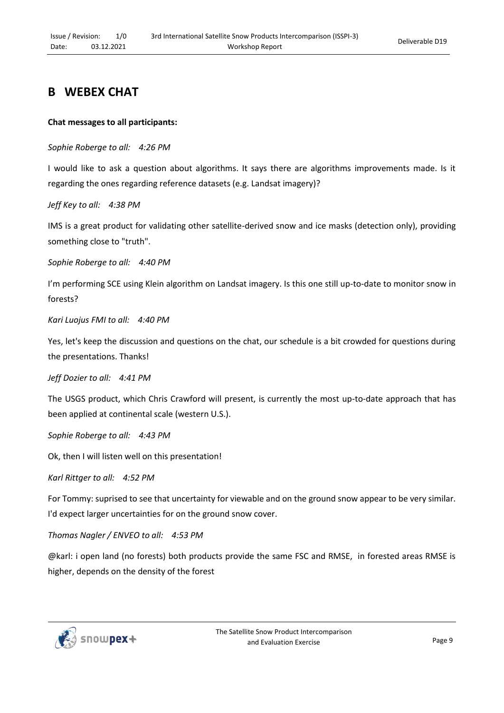## <span id="page-16-0"></span>**B WEBEX CHAT**

#### **Chat messages to all participants:**

*Sophie Roberge to all: 4:26 PM*

I would like to ask a question about algorithms. It says there are algorithms improvements made. Is it regarding the ones regarding reference datasets (e.g. Landsat imagery)?

#### *Jeff Key to all: 4:38 PM*

IMS is a great product for validating other satellite-derived snow and ice masks (detection only), providing something close to "truth".

*Sophie Roberge to all: 4:40 PM*

I'm performing SCE using Klein algorithm on Landsat imagery. Is this one still up-to-date to monitor snow in forests?

*Kari Luojus FMI to all: 4:40 PM*

Yes, let's keep the discussion and questions on the chat, our schedule is a bit crowded for questions during the presentations. Thanks!

*Jeff Dozier to all: 4:41 PM*

The USGS product, which Chris Crawford will present, is currently the most up-to-date approach that has been applied at continental scale (western U.S.).

*Sophie Roberge to all: 4:43 PM*

Ok, then I will listen well on this presentation!

*Karl Rittger to all: 4:52 PM*

For Tommy: suprised to see that uncertainty for viewable and on the ground snow appear to be very similar. I'd expect larger uncertainties for on the ground snow cover.

*Thomas Nagler / ENVEO to all: 4:53 PM*

@karl: i open land (no forests) both products provide the same FSC and RMSE, in forested areas RMSE is higher, depends on the density of the forest

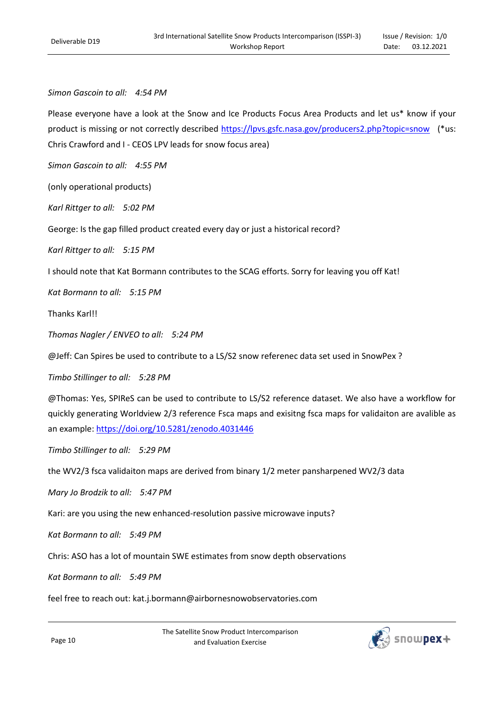#### *Simon Gascoin to all: 4:54 PM*

Please everyone have a look at the Snow and Ice Products Focus Area Products and let us\* know if your product is missing or not correctly described<https://lpvs.gsfc.nasa.gov/producers2.php?topic=snow> (\*us: Chris Crawford and I - CEOS LPV leads for snow focus area)

*Simon Gascoin to all: 4:55 PM*

(only operational products)

*Karl Rittger to all: 5:02 PM*

George: Is the gap filled product created every day or just a historical record?

*Karl Rittger to all: 5:15 PM*

I should note that Kat Bormann contributes to the SCAG efforts. Sorry for leaving you off Kat!

*Kat Bormann to all: 5:15 PM*

Thanks Karl!!

*Thomas Nagler / ENVEO to all: 5:24 PM*

@Jeff: Can Spires be used to contribute to a LS/S2 snow referenec data set used in SnowPex ?

*Timbo Stillinger to all: 5:28 PM*

@Thomas: Yes, SPIReS can be used to contribute to LS/S2 reference dataset. We also have a workflow for quickly generating Worldview 2/3 reference Fsca maps and exisitng fsca maps for validaiton are avalible as an example[: https://doi.org/10.5281/zenodo.4031446](https://doi.org/10.5281/zenodo.4031446)

*Timbo Stillinger to all: 5:29 PM*

the WV2/3 fsca validaiton maps are derived from binary 1/2 meter pansharpened WV2/3 data

*Mary Jo Brodzik to all: 5:47 PM*

Kari: are you using the new enhanced-resolution passive microwave inputs?

*Kat Bormann to all: 5:49 PM*

Chris: ASO has a lot of mountain SWE estimates from snow depth observations

*Kat Bormann to all: 5:49 PM*

feel free to reach out: kat.j.bormann@airbornesnowobservatories.com

The Satellite Snow Product Intercomparison and Evaluation Exercise

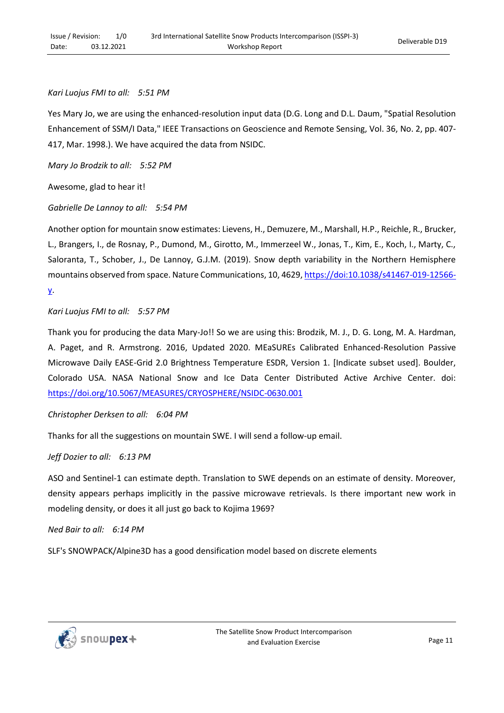#### *Kari Luojus FMI to all: 5:51 PM*

Yes Mary Jo, we are using the enhanced-resolution input data (D.G. Long and D.L. Daum, "Spatial Resolution Enhancement of SSM/I Data," IEEE Transactions on Geoscience and Remote Sensing, Vol. 36, No. 2, pp. 407- 417, Mar. 1998.). We have acquired the data from NSIDC.

*Mary Jo Brodzik to all: 5:52 PM*

Awesome, glad to hear it!

*Gabrielle De Lannoy to all: 5:54 PM*

Another option for mountain snow estimates: Lievens, H., Demuzere, M., Marshall, H.P., Reichle, R., Brucker, L., Brangers, I., de Rosnay, P., Dumond, M., Girotto, M., Immerzeel W., Jonas, T., Kim, E., Koch, I., Marty, C., Saloranta, T., Schober, J., De Lannoy, G.J.M. (2019). Snow depth variability in the Northern Hemisphere mountains observed from space. Nature Communications, 10, 4629[, https://doi:10.1038/s41467-019-12566](https://doi:10.1038/s41467-019-12566-y) [y.](https://doi:10.1038/s41467-019-12566-y)

#### *Kari Luojus FMI to all: 5:57 PM*

Thank you for producing the data Mary-Jo!! So we are using this: Brodzik, M. J., D. G. Long, M. A. Hardman, A. Paget, and R. Armstrong. 2016, Updated 2020. MEaSUREs Calibrated Enhanced-Resolution Passive Microwave Daily EASE-Grid 2.0 Brightness Temperature ESDR, Version 1. [Indicate subset used]. Boulder, Colorado USA. NASA National Snow and Ice Data Center Distributed Active Archive Center. doi: <https://doi.org/10.5067/MEASURES/CRYOSPHERE/NSIDC-0630.001>

*Christopher Derksen to all: 6:04 PM*

Thanks for all the suggestions on mountain SWE. I will send a follow-up email.

#### *Jeff Dozier to all: 6:13 PM*

ASO and Sentinel-1 can estimate depth. Translation to SWE depends on an estimate of density. Moreover, density appears perhaps implicitly in the passive microwave retrievals. Is there important new work in modeling density, or does it all just go back to Kojima 1969?

#### *Ned Bair to all: 6:14 PM*

SLF's SNOWPACK/Alpine3D has a good densification model based on discrete elements

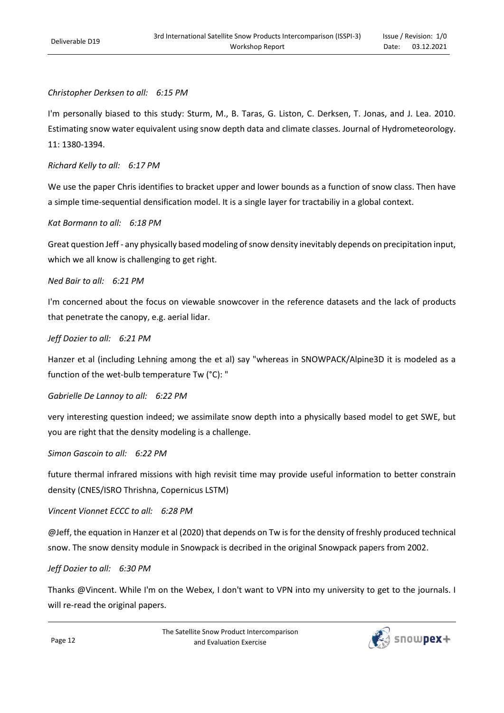#### *Christopher Derksen to all: 6:15 PM*

Deliverable D19

I'm personally biased to this study: Sturm, M., B. Taras, G. Liston, C. Derksen, T. Jonas, and J. Lea. 2010. Estimating snow water equivalent using snow depth data and climate classes. Journal of Hydrometeorology. 11: 1380-1394.

#### *Richard Kelly to all: 6:17 PM*

We use the paper Chris identifies to bracket upper and lower bounds as a function of snow class. Then have a simple time-sequential densification model. It is a single layer for tractabiliy in a global context.

#### *Kat Bormann to all: 6:18 PM*

Great question Jeff - any physically based modeling of snow density inevitably depends on precipitation input, which we all know is challenging to get right.

#### *Ned Bair to all: 6:21 PM*

I'm concerned about the focus on viewable snowcover in the reference datasets and the lack of products that penetrate the canopy, e.g. aerial lidar.

#### *Jeff Dozier to all: 6:21 PM*

Hanzer et al (including Lehning among the et al) say "whereas in SNOWPACK/Alpine3D it is modeled as a function of the wet-bulb temperature Tw (°C): "

#### *Gabrielle De Lannoy to all: 6:22 PM*

very interesting question indeed; we assimilate snow depth into a physically based model to get SWE, but you are right that the density modeling is a challenge.

#### *Simon Gascoin to all: 6:22 PM*

future thermal infrared missions with high revisit time may provide useful information to better constrain density (CNES/ISRO Thrishna, Copernicus LSTM)

#### *Vincent Vionnet ECCC to all: 6:28 PM*

@Jeff, the equation in Hanzer et al (2020) that depends on Tw is for the density of freshly produced technical snow. The snow density module in Snowpack is decribed in the original Snowpack papers from 2002.

#### *Jeff Dozier to all: 6:30 PM*

Thanks @Vincent. While I'm on the Webex, I don't want to VPN into my university to get to the journals. I will re-read the original papers.

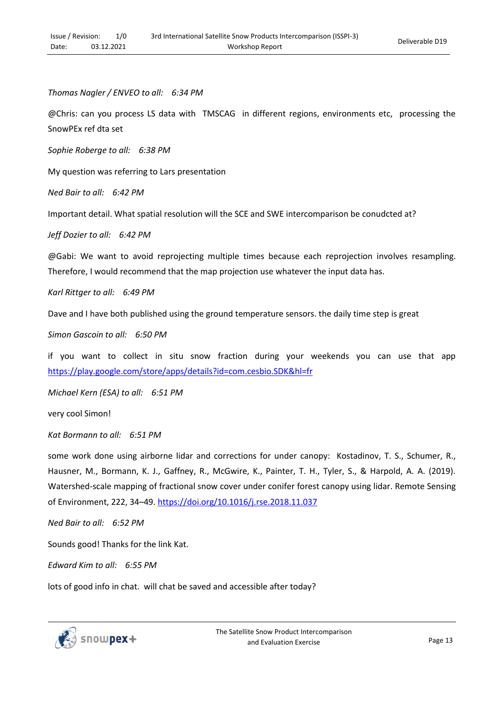#### *Thomas Nagler / ENVEO to all: 6:34 PM*

@Chris: can you process LS data with TMSCAG in different regions, environments etc, processing the SnowPEx ref dta set

*Sophie Roberge to all: 6:38 PM*

My question was referring to Lars presentation

*Ned Bair to all: 6:42 PM*

Important detail. What spatial resolution will the SCE and SWE intercomparison be conudcted at?

*Jeff Dozier to all: 6:42 PM*

@Gabi: We want to avoid reprojecting multiple times because each reprojection involves resampling. Therefore, I would recommend that the map projection use whatever the input data has.

*Karl Rittger to all: 6:49 PM*

Dave and I have both published using the ground temperature sensors. the daily time step is great

*Simon Gascoin to all: 6:50 PM*

if you want to collect in situ snow fraction during your weekends you can use that app <https://play.google.com/store/apps/details?id=com.cesbio.SDK&hl=fr>

*Michael Kern (ESA) to all: 6:51 PM*

very cool Simon!

*Kat Bormann to all: 6:51 PM*

some work done using airborne lidar and corrections for under canopy: Kostadinov, T. S., Schumer, R., Hausner, M., Bormann, K. J., Gaffney, R., McGwire, K., Painter, T. H., Tyler, S., & Harpold, A. A. (2019). Watershed-scale mapping of fractional snow cover under conifer forest canopy using lidar. Remote Sensing of Environment, 222, 34–49.<https://doi.org/10.1016/j.rse.2018.11.037>

*Ned Bair to all: 6:52 PM*

Sounds good! Thanks for the link Kat.

*Edward Kim to all: 6:55 PM*

lots of good info in chat. will chat be saved and accessible after today?

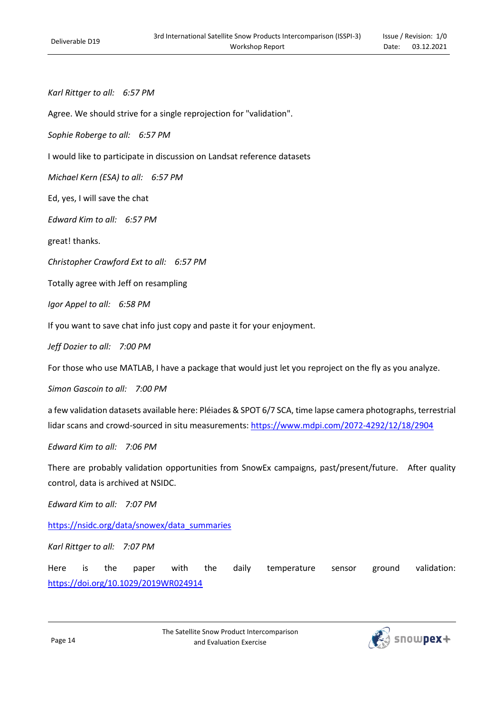*Karl Rittger to all: 6:57 PM*

Agree. We should strive for a single reprojection for "validation".

*Sophie Roberge to all: 6:57 PM*

I would like to participate in discussion on Landsat reference datasets

*Michael Kern (ESA) to all: 6:57 PM*

Ed, yes, I will save the chat

*Edward Kim to all: 6:57 PM*

great! thanks.

*Christopher Crawford Ext to all: 6:57 PM*

Totally agree with Jeff on resampling

*Igor Appel to all: 6:58 PM*

If you want to save chat info just copy and paste it for your enjoyment.

*Jeff Dozier to all: 7:00 PM*

For those who use MATLAB, I have a package that would just let you reproject on the fly as you analyze.

*Simon Gascoin to all: 7:00 PM*

a few validation datasets available here: Pléiades & SPOT 6/7 SCA, time lapse camera photographs, terrestrial lidar scans and crowd-sourced in situ measurements[: https://www.mdpi.com/2072-4292/12/18/2904](https://www.mdpi.com/2072-4292/12/18/2904)

*Edward Kim to all: 7:06 PM*

There are probably validation opportunities from SnowEx campaigns, past/present/future. After quality control, data is archived at NSIDC.

*Edward Kim to all: 7:07 PM*

[https://nsidc.org/data/snowex/data\\_summaries](https://nsidc.org/data/snowex/data_summaries)

*Karl Rittger to all: 7:07 PM*

Here is the paper with the daily temperature sensor ground validation: <https://doi.org/10.1029/2019WR024914>